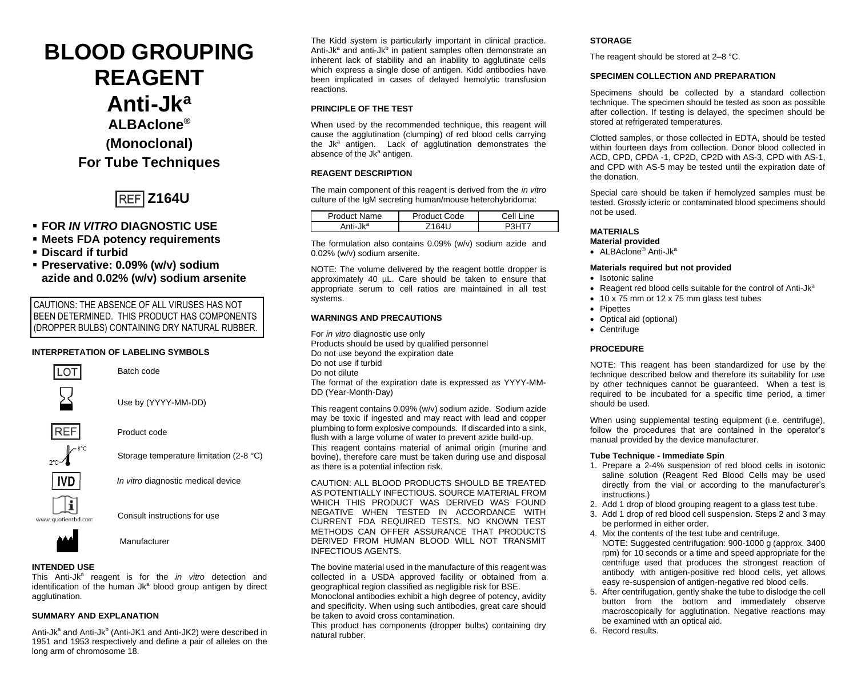# **BLOOD GROUPING REAGENT Anti-Jk<sup>a</sup> ALBAclone® (Monoclonal) For Tube Techniques**



- **FOR** *IN VITRO* **DIAGNOSTIC USE**
- **Meets FDA potency requirements**
- **Discard if turbid**
- **Preservative: 0.09% (w/v) sodium azide and 0.02% (w/v) sodium arsenite**

CAUTIONS: THE ABSENCE OF ALL VIRUSES HAS NOT BEEN DETERMINED. THIS PRODUCT HAS COMPONENTS (DROPPER BULBS) CONTAINING DRY NATURAL RUBBER.

## **INTERPRETATION OF LABELING SYMBOLS**



**INTENDED USE**

This Anti-Jk<sup>a</sup> reagent is for the *in vitro* detection and identification of the human Jk<sup>a</sup> blood group antigen by direct agglutination.

# **SUMMARY AND EXPLANATION**

Anti-Jk<sup>a</sup> and Anti-Jk<sup>b</sup> (Anti-JK1 and Anti-JK2) were described in 1951 and 1953 respectively and define a pair of alleles on the long arm of chromosome 18.

The Kidd system is particularly important in clinical practice. Anti-Jk<sup>a</sup> and anti-Jk<sup>b</sup> in patient samples often demonstrate an inherent lack of stability and an inability to agglutinate cells which express a single dose of antigen. Kidd antibodies have been implicated in cases of delayed hemolytic transfusion reactions.

# **PRINCIPLE OF THE TEST**

When used by the recommended technique, this reagent will cause the agglutination (clumping) of red blood cells carrying the Jk<sup>a</sup> antigen. Lack of agglutination demonstrates the absence of the Jk<sup>a</sup> antigen.

# **REAGENT DESCRIPTION**

The main component of this reagent is derived from the *in vitro* culture of the IgM secreting human/mouse heterohybridoma:

| Product Name         | Product Code | Cell I<br>ine |  |
|----------------------|--------------|---------------|--|
| Anti-Jk <sup>a</sup> | 716111       |               |  |

The formulation also contains 0.09% (w/v) sodium azide and 0.02% (w/v) sodium arsenite.

NOTE: The volume delivered by the reagent bottle dropper is approximately 40 µL. Care should be taken to ensure that appropriate serum to cell ratios are maintained in all test systems.

# **WARNINGS AND PRECAUTIONS**

For *in vitro* diagnostic use only Products should be used by qualified personnel Do not use beyond the expiration date Do not use if turbid Do not dilute The format of the expiration date is expressed as YYYY-MM-DD (Year-Month-Day)

This reagent contains 0.09% (w/v) sodium azide. Sodium azide may be toxic if ingested and may react with lead and copper plumbing to form explosive compounds. If discarded into a sink, flush with a large volume of water to prevent azide build-up. This reagent contains material of animal origin (murine and bovine), therefore care must be taken during use and disposal as there is a potential infection risk.

CAUTION: ALL BLOOD PRODUCTS SHOULD BE TREATED AS POTENTIALLY INFECTIOUS. SOURCE MATERIAL FROM WHICH THIS PRODUCT WAS DERIVED WAS FOUND NEGATIVE WHEN TESTED IN ACCORDANCE WITH CURRENT FDA REQUIRED TESTS. NO KNOWN TEST METHODS CAN OFFER ASSURANCE THAT PRODUCTS DERIVED FROM HUMAN BLOOD WILL NOT TRANSMIT INFECTIOUS AGENTS.

The bovine material used in the manufacture of this reagent was collected in a USDA approved facility or obtained from a geographical region classified as negligible risk for BSE.

Monoclonal antibodies exhibit a high degree of potency, avidity and specificity. When using such antibodies, great care should be taken to avoid cross contamination*.*

This product has components (dropper bulbs) containing dry natural rubber.

# **STORAGE**

The reagent should be stored at 2–8 °C.

# **SPECIMEN COLLECTION AND PREPARATION**

Specimens should be collected by a standard collection technique. The specimen should be tested as soon as possible after collection. If testing is delayed, the specimen should be stored at refrigerated temperatures.

Clotted samples, or those collected in EDTA, should be tested within fourteen days from collection. Donor blood collected in ACD, CPD, CPDA -1, CP2D, CP2D with AS-3, CPD with AS-1, and CPD with AS-5 may be tested until the expiration date of the donation.

Special care should be taken if hemolyzed samples must be tested. Grossly icteric or contaminated blood specimens should not be used.

# **MATERIALS**

- **Material provided**
- ALBAclone® Anti-Jk<sup>a</sup>

# **Materials required but not provided**

- Isotonic saline
- Reagent red blood cells suitable for the control of Anti-Jk<sup>a</sup>
- 10 x 75 mm or 12 x 75 mm glass test tubes
- Pipettes
- Optical aid (optional)
- Centrifuge

#### **PROCEDURE**

NOTE: This reagent has been standardized for use by the technique described below and therefore its suitability for use by other techniques cannot be guaranteed. When a test is required to be incubated for a specific time period, a timer should be used.

When using supplemental testing equipment (i.e. centrifuge), follow the procedures that are contained in the operator's manual provided by the device manufacturer.

#### **Tube Technique - Immediate Spin**

- 1. Prepare a 2-4% suspension of red blood cells in isotonic saline solution (Reagent Red Blood Cells may be used directly from the vial or according to the manufacturer's instructions.)
- 2. Add 1 drop of blood grouping reagent to a glass test tube.
- 3. Add 1 drop of red blood cell suspension. Steps 2 and 3 may be performed in either order.
- 4. Mix the contents of the test tube and centrifuge. NOTE: Suggested centrifugation: 900-1000 g (approx. 3400 rpm) for 10 seconds or a time and speed appropriate for the centrifuge used that produces the strongest reaction of antibody with antigen-positive red blood cells, yet allows easy re-suspension of antigen-negative red blood cells.
- 5. After centrifugation, gently shake the tube to dislodge the cell button from the bottom and immediately observe macroscopically for agglutination. Negative reactions may be examined with an optical aid.

6. Record results.